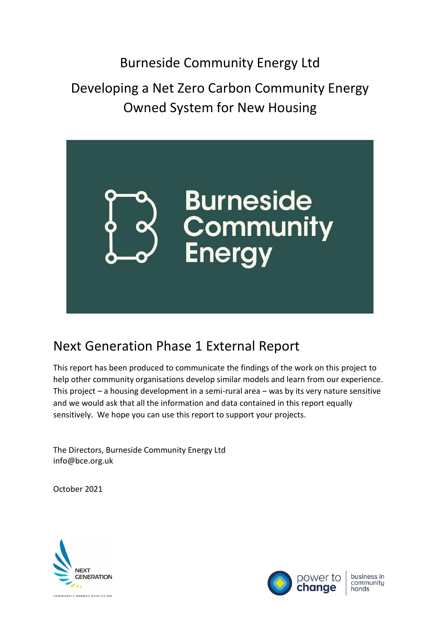# Developing a Net Zero Carbon Community Energy Owned System for New Housing



# Next Generation Phase 1 External Report

This report has been produced to communicate the findings of the work on this project to help other community organisations develop similar models and learn from our experience. This project – a housing development in a semi-rural area – was by its very nature sensitive and we would ask that all the information and data contained in this report equally sensitively. We hope you can use this report to support your projects.

The Directors, Burneside Community Energy Ltd info@bce.org.uk

October 2021





business in<br>community hands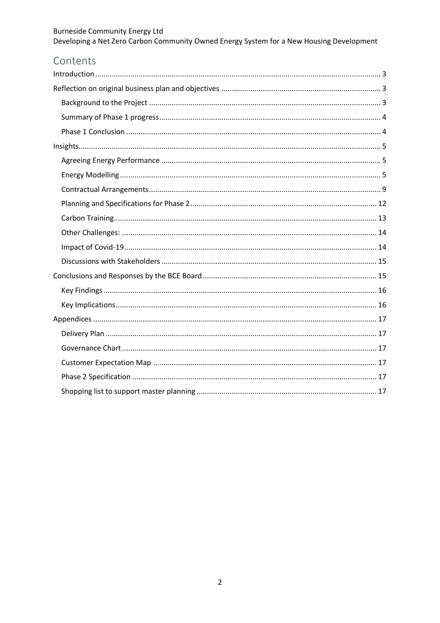| Developing a Net Zero Carbon Community Owned Energy System for a New Housing Development |
|------------------------------------------------------------------------------------------|

# Contents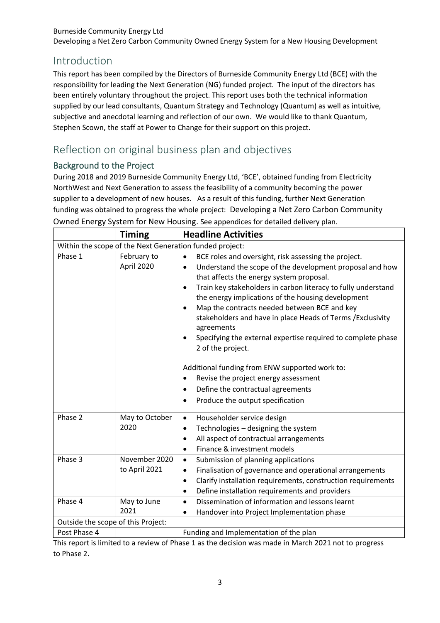Developing a Net Zero Carbon Community Owned Energy System for a New Housing Development

# <span id="page-2-0"></span>Introduction

This report has been compiled by the Directors of Burneside Community Energy Ltd (BCE) with the responsibility for leading the Next Generation (NG) funded project. The input of the directors has been entirely voluntary throughout the project. This report uses both the technical information supplied by our lead consultants, Quantum Strategy and Technology (Quantum) as well as intuitive, subjective and anecdotal learning and reflection of our own. We would like to thank Quantum, Stephen Scown, the staff at Power to Change for their support on this project.

# <span id="page-2-1"></span>Reflection on original business plan and objectives

## <span id="page-2-2"></span>Background to the Project

During 2018 and 2019 Burneside Community Energy Ltd, 'BCE', obtained funding from Electricity NorthWest and Next Generation to assess the feasibility of a community becoming the power supplier to a development of new houses. As a result of this funding, further Next Generation funding was obtained to progress the whole project: Developing a Net Zero Carbon Community Owned Energy System for New Housing. See appendices for detailed delivery plan.

|                                                         | <b>Timing</b>                  | <b>Headline Activities</b>                                                                                                                                                                                                                                                                                                                                                                                                                                                                                                                                                                                               |  |
|---------------------------------------------------------|--------------------------------|--------------------------------------------------------------------------------------------------------------------------------------------------------------------------------------------------------------------------------------------------------------------------------------------------------------------------------------------------------------------------------------------------------------------------------------------------------------------------------------------------------------------------------------------------------------------------------------------------------------------------|--|
| Within the scope of the Next Generation funded project: |                                |                                                                                                                                                                                                                                                                                                                                                                                                                                                                                                                                                                                                                          |  |
| Phase 1                                                 | February to<br>April 2020      | BCE roles and oversight, risk assessing the project.<br>$\bullet$<br>Understand the scope of the development proposal and how<br>$\bullet$<br>that affects the energy system proposal.<br>Train key stakeholders in carbon literacy to fully understand<br>$\bullet$<br>the energy implications of the housing development<br>Map the contracts needed between BCE and key<br>$\bullet$<br>stakeholders and have in place Heads of Terms / Exclusivity<br>agreements<br>Specifying the external expertise required to complete phase<br>$\bullet$<br>2 of the project.<br>Additional funding from ENW supported work to: |  |
|                                                         |                                | Revise the project energy assessment<br>$\bullet$<br>Define the contractual agreements<br>$\bullet$<br>Produce the output specification<br>$\bullet$                                                                                                                                                                                                                                                                                                                                                                                                                                                                     |  |
| Phase 2                                                 | May to October<br>2020         | Householder service design<br>$\bullet$<br>Technologies - designing the system<br>$\bullet$<br>All aspect of contractual arrangements<br>$\bullet$<br>Finance & investment models<br>$\bullet$                                                                                                                                                                                                                                                                                                                                                                                                                           |  |
| Phase 3                                                 | November 2020<br>to April 2021 | Submission of planning applications<br>$\bullet$<br>Finalisation of governance and operational arrangements<br>$\bullet$<br>Clarify installation requirements, construction requirements<br>$\bullet$<br>Define installation requirements and providers<br>$\bullet$                                                                                                                                                                                                                                                                                                                                                     |  |
| Phase 4                                                 | May to June<br>2021            | Dissemination of information and lessons learnt<br>$\bullet$<br>Handover into Project Implementation phase<br>$\bullet$                                                                                                                                                                                                                                                                                                                                                                                                                                                                                                  |  |
| Outside the scope of this Project:                      |                                |                                                                                                                                                                                                                                                                                                                                                                                                                                                                                                                                                                                                                          |  |
| Post Phase 4                                            |                                | Funding and Implementation of the plan                                                                                                                                                                                                                                                                                                                                                                                                                                                                                                                                                                                   |  |

This report is limited to a review of Phase 1 as the decision was made in March 2021 not to progress to Phase 2.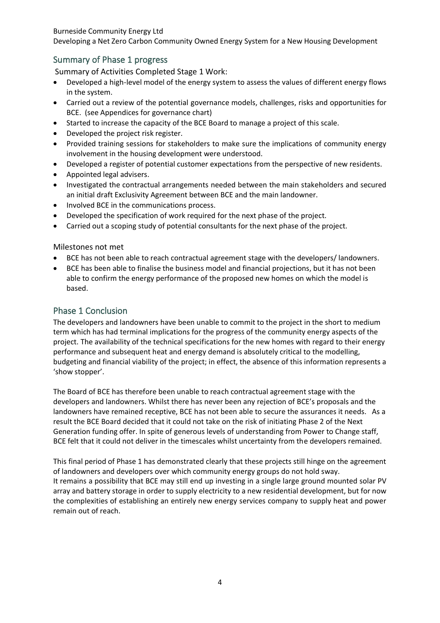Developing a Net Zero Carbon Community Owned Energy System for a New Housing Development

# <span id="page-3-0"></span>Summary of Phase 1 progress

Summary of Activities Completed Stage 1 Work:

- Developed a high-level model of the energy system to assess the values of different energy flows in the system.
- Carried out a review of the potential governance models, challenges, risks and opportunities for BCE. (see Appendices for governance chart)
- Started to increase the capacity of the BCE Board to manage a project of this scale.
- Developed the project risk register.
- Provided training sessions for stakeholders to make sure the implications of community energy involvement in the housing development were understood.
- Developed a register of potential customer expectations from the perspective of new residents.
- Appointed legal advisers.
- Investigated the contractual arrangements needed between the main stakeholders and secured an initial draft Exclusivity Agreement between BCE and the main landowner.
- Involved BCE in the communications process.
- Developed the specification of work required for the next phase of the project.
- Carried out a scoping study of potential consultants for the next phase of the project.

Milestones not met

- BCE has not been able to reach contractual agreement stage with the developers/ landowners.
- BCE has been able to finalise the business model and financial projections, but it has not been able to confirm the energy performance of the proposed new homes on which the model is based.

### <span id="page-3-1"></span>Phase 1 Conclusion

The developers and landowners have been unable to commit to the project in the short to medium term which has had terminal implications for the progress of the community energy aspects of the project. The availability of the technical specifications for the new homes with regard to their energy performance and subsequent heat and energy demand is absolutely critical to the modelling, budgeting and financial viability of the project; in effect, the absence of this information represents a 'show stopper'.

The Board of BCE has therefore been unable to reach contractual agreement stage with the developers and landowners. Whilst there has never been any rejection of BCE's proposals and the landowners have remained receptive, BCE has not been able to secure the assurances it needs. As a result the BCE Board decided that it could not take on the risk of initiating Phase 2 of the Next Generation funding offer. In spite of generous levels of understanding from Power to Change staff, BCE felt that it could not deliver in the timescales whilst uncertainty from the developers remained.

This final period of Phase 1 has demonstrated clearly that these projects still hinge on the agreement of landowners and developers over which community energy groups do not hold sway. It remains a possibility that BCE may still end up investing in a single large ground mounted solar PV array and battery storage in order to supply electricity to a new residential development, but for now the complexities of establishing an entirely new energy services company to supply heat and power remain out of reach.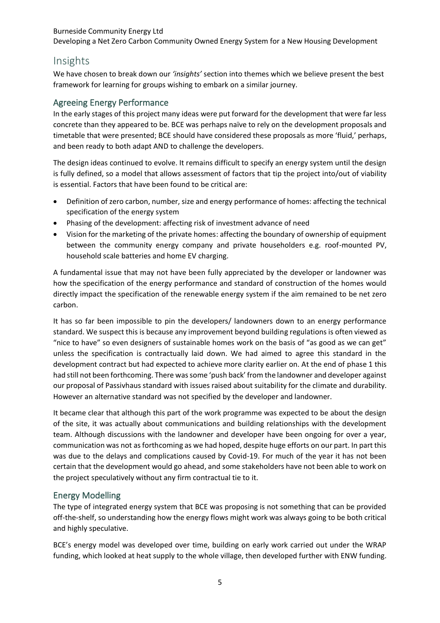Developing a Net Zero Carbon Community Owned Energy System for a New Housing Development

# <span id="page-4-0"></span>Insights

We have chosen to break down our *'insights'* section into themes which we believe present the best framework for learning for groups wishing to embark on a similar journey.

#### <span id="page-4-1"></span>Agreeing Energy Performance

In the early stages of this project many ideas were put forward for the development that were far less concrete than they appeared to be. BCE was perhaps naïve to rely on the development proposals and timetable that were presented; BCE should have considered these proposals as more 'fluid,' perhaps, and been ready to both adapt AND to challenge the developers.

The design ideas continued to evolve. It remains difficult to specify an energy system until the design is fully defined, so a model that allows assessment of factors that tip the project into/out of viability is essential. Factors that have been found to be critical are:

- Definition of zero carbon, number, size and energy performance of homes: affecting the technical specification of the energy system
- Phasing of the development: affecting risk of investment advance of need
- Vision for the marketing of the private homes: affecting the boundary of ownership of equipment between the community energy company and private householders e.g. roof-mounted PV, household scale batteries and home EV charging.

A fundamental issue that may not have been fully appreciated by the developer or landowner was how the specification of the energy performance and standard of construction of the homes would directly impact the specification of the renewable energy system if the aim remained to be net zero carbon.

It has so far been impossible to pin the developers/ landowners down to an energy performance standard. We suspect this is because any improvement beyond building regulations is often viewed as "nice to have" so even designers of sustainable homes work on the basis of "as good as we can get" unless the specification is contractually laid down. We had aimed to agree this standard in the development contract but had expected to achieve more clarity earlier on. At the end of phase 1 this had still not been forthcoming. There was some 'push back' from the landowner and developer against our proposal of Passivhaus standard with issues raised about suitability for the climate and durability. However an alternative standard was not specified by the developer and landowner.

It became clear that although this part of the work programme was expected to be about the design of the site, it was actually about communications and building relationships with the development team. Although discussions with the landowner and developer have been ongoing for over a year, communication was not asforthcoming as we had hoped, despite huge efforts on our part. In part this was due to the delays and complications caused by Covid-19. For much of the year it has not been certain that the development would go ahead, and some stakeholders have not been able to work on the project speculatively without any firm contractual tie to it.

#### <span id="page-4-2"></span>Energy Modelling

The type of integrated energy system that BCE was proposing is not something that can be provided off-the-shelf, so understanding how the energy flows might work was always going to be both critical and highly speculative.

BCE's energy model was developed over time, building on early work carried out under the WRAP funding, which looked at heat supply to the whole village, then developed further with ENW funding.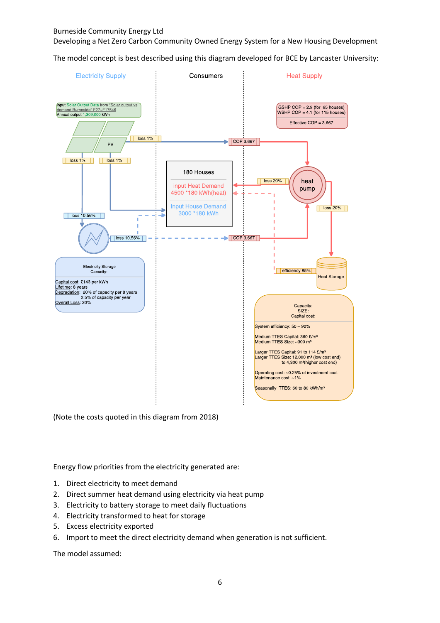Developing a Net Zero Carbon Community Owned Energy System for a New Housing Development

The model concept is best described using this diagram developed for BCE by Lancaster University:



(Note the costs quoted in this diagram from 2018)

Energy flow priorities from the electricity generated are:

- 1. Direct electricity to meet demand
- 2. Direct summer heat demand using electricity via heat pump
- 3. Electricity to battery storage to meet daily fluctuations
- 4. Electricity transformed to heat for storage
- 5. Excess electricity exported
- 6. Import to meet the direct electricity demand when generation is not sufficient.

The model assumed: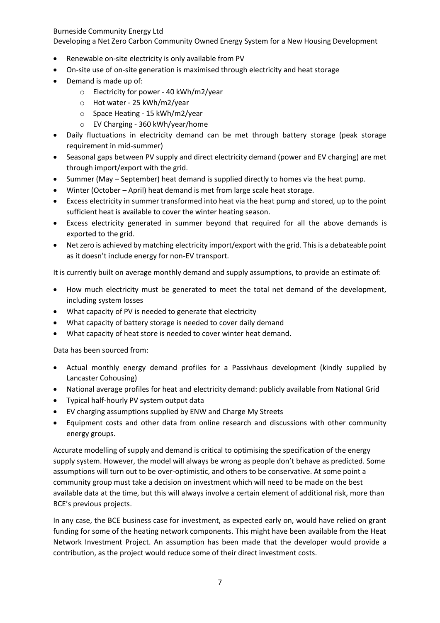Developing a Net Zero Carbon Community Owned Energy System for a New Housing Development

- Renewable on-site electricity is only available from PV
- On-site use of on-site generation is maximised through electricity and heat storage
- Demand is made up of:
	- o Electricity for power 40 kWh/m2/year
	- o Hot water 25 kWh/m2/year
	- o Space Heating 15 kWh/m2/year
	- o EV Charging 360 kWh/year/home
- Daily fluctuations in electricity demand can be met through battery storage (peak storage requirement in mid-summer)
- Seasonal gaps between PV supply and direct electricity demand (power and EV charging) are met through import/export with the grid.
- Summer (May September) heat demand is supplied directly to homes via the heat pump.
- Winter (October April) heat demand is met from large scale heat storage.
- Excess electricity in summer transformed into heat via the heat pump and stored, up to the point sufficient heat is available to cover the winter heating season.
- Excess electricity generated in summer beyond that required for all the above demands is exported to the grid.
- Net zero is achieved by matching electricity import/export with the grid. This is a debateable point as it doesn't include energy for non-EV transport.

It is currently built on average monthly demand and supply assumptions, to provide an estimate of:

- How much electricity must be generated to meet the total net demand of the development, including system losses
- What capacity of PV is needed to generate that electricity
- What capacity of battery storage is needed to cover daily demand
- What capacity of heat store is needed to cover winter heat demand.

Data has been sourced from:

- Actual monthly energy demand profiles for a Passivhaus development (kindly supplied by Lancaster Cohousing)
- National average profiles for heat and electricity demand: publicly available from National Grid
- Typical half-hourly PV system output data
- EV charging assumptions supplied by ENW and Charge My Streets
- Equipment costs and other data from online research and discussions with other community energy groups.

Accurate modelling of supply and demand is critical to optimising the specification of the energy supply system. However, the model will always be wrong as people don't behave as predicted. Some assumptions will turn out to be over-optimistic, and others to be conservative. At some point a community group must take a decision on investment which will need to be made on the best available data at the time, but this will always involve a certain element of additional risk, more than BCE's previous projects.

In any case, the BCE business case for investment, as expected early on, would have relied on grant funding for some of the heating network components. This might have been available from the Heat Network Investment Project. An assumption has been made that the developer would provide a contribution, as the project would reduce some of their direct investment costs.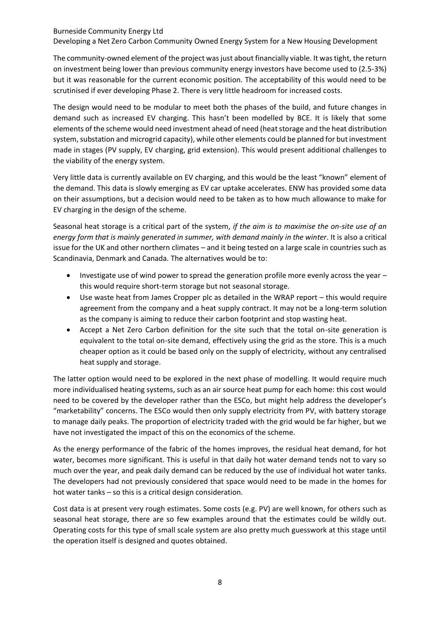Developing a Net Zero Carbon Community Owned Energy System for a New Housing Development

The community-owned element of the project was just about financially viable. It was tight, the return on investment being lower than previous community energy investors have become used to (2.5-3%) but it was reasonable for the current economic position. The acceptability of this would need to be scrutinised if ever developing Phase 2. There is very little headroom for increased costs.

The design would need to be modular to meet both the phases of the build, and future changes in demand such as increased EV charging. This hasn't been modelled by BCE. It is likely that some elements of the scheme would need investment ahead of need (heat storage and the heat distribution system, substation and microgrid capacity), while other elements could be planned for but investment made in stages (PV supply, EV charging, grid extension). This would present additional challenges to the viability of the energy system.

Very little data is currently available on EV charging, and this would be the least "known" element of the demand. This data is slowly emerging as EV car uptake accelerates. ENW has provided some data on their assumptions, but a decision would need to be taken as to how much allowance to make for EV charging in the design of the scheme.

Seasonal heat storage is a critical part of the system, *if the aim is to maximise the on-site use of an energy form that is mainly generated in summer, with demand mainly in the winter*. It is also a critical issue for the UK and other northern climates – and it being tested on a large scale in countries such as Scandinavia, Denmark and Canada. The alternatives would be to:

- Investigate use of wind power to spread the generation profile more evenly across the year this would require short-term storage but not seasonal storage.
- Use waste heat from James Cropper plc as detailed in the WRAP report this would require agreement from the company and a heat supply contract. It may not be a long-term solution as the company is aiming to reduce their carbon footprint and stop wasting heat.
- Accept a Net Zero Carbon definition for the site such that the total on-site generation is equivalent to the total on-site demand, effectively using the grid as the store. This is a much cheaper option as it could be based only on the supply of electricity, without any centralised heat supply and storage.

The latter option would need to be explored in the next phase of modelling. It would require much more individualised heating systems, such as an air source heat pump for each home: this cost would need to be covered by the developer rather than the ESCo, but might help address the developer's "marketability" concerns. The ESCo would then only supply electricity from PV, with battery storage to manage daily peaks. The proportion of electricity traded with the grid would be far higher, but we have not investigated the impact of this on the economics of the scheme.

As the energy performance of the fabric of the homes improves, the residual heat demand, for hot water, becomes more significant. This is useful in that daily hot water demand tends not to vary so much over the year, and peak daily demand can be reduced by the use of individual hot water tanks. The developers had not previously considered that space would need to be made in the homes for hot water tanks – so this is a critical design consideration.

Cost data is at present very rough estimates. Some costs (e.g. PV) are well known, for others such as seasonal heat storage, there are so few examples around that the estimates could be wildly out. Operating costs for this type of small scale system are also pretty much guesswork at this stage until the operation itself is designed and quotes obtained.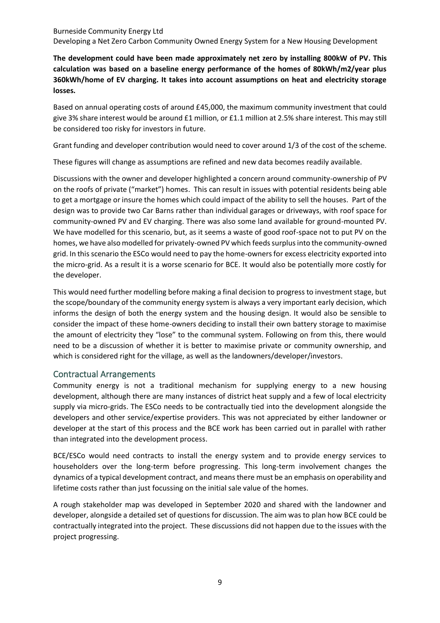Burneside Community Energy Ltd Developing a Net Zero Carbon Community Owned Energy System for a New Housing Development

**The development could have been made approximately net zero by installing 800kW of PV. This calculation was based on a baseline energy performance of the homes of 80kWh/m2/year plus 360kWh/home of EV charging. It takes into account assumptions on heat and electricity storage losses.** 

Based on annual operating costs of around £45,000, the maximum community investment that could give 3% share interest would be around £1 million, or £1.1 million at 2.5% share interest. This may still be considered too risky for investors in future.

Grant funding and developer contribution would need to cover around 1/3 of the cost of the scheme.

These figures will change as assumptions are refined and new data becomes readily available.

Discussions with the owner and developer highlighted a concern around community-ownership of PV on the roofs of private ("market") homes. This can result in issues with potential residents being able to get a mortgage or insure the homes which could impact of the ability to sell the houses. Part of the design was to provide two Car Barns rather than individual garages or driveways, with roof space for community-owned PV and EV charging. There was also some land available for ground-mounted PV. We have modelled for this scenario, but, as it seems a waste of good roof-space not to put PV on the homes, we have also modelled for privately-owned PV which feeds surplus into the community-owned grid. In this scenario the ESCo would need to pay the home-owners for excess electricity exported into the micro-grid. As a result it is a worse scenario for BCE. It would also be potentially more costly for the developer.

This would need further modelling before making a final decision to progress to investment stage, but the scope/boundary of the community energy system is always a very important early decision, which informs the design of both the energy system and the housing design. It would also be sensible to consider the impact of these home-owners deciding to install their own battery storage to maximise the amount of electricity they "lose" to the communal system. Following on from this, there would need to be a discussion of whether it is better to maximise private or community ownership, and which is considered right for the village, as well as the landowners/developer/investors.

#### <span id="page-8-0"></span>Contractual Arrangements

Community energy is not a traditional mechanism for supplying energy to a new housing development, although there are many instances of district heat supply and a few of local electricity supply via micro-grids. The ESCo needs to be contractually tied into the development alongside the developers and other service/expertise providers. This was not appreciated by either landowner or developer at the start of this process and the BCE work has been carried out in parallel with rather than integrated into the development process.

BCE/ESCo would need contracts to install the energy system and to provide energy services to householders over the long-term before progressing. This long-term involvement changes the dynamics of a typical development contract, and means there must be an emphasis on operability and lifetime costs rather than just focussing on the initial sale value of the homes.

A rough stakeholder map was developed in September 2020 and shared with the landowner and developer, alongside a detailed set of questions for discussion. The aim was to plan how BCE could be contractually integrated into the project. These discussions did not happen due to the issues with the project progressing.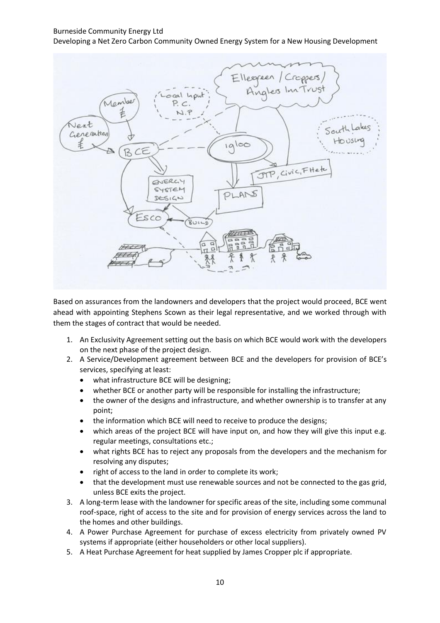Developing a Net Zero Carbon Community Owned Energy System for a New Housing Development



Based on assurances from the landowners and developers that the project would proceed, BCE went ahead with appointing Stephens Scown as their legal representative, and we worked through with them the stages of contract that would be needed.

- 1. An Exclusivity Agreement setting out the basis on which BCE would work with the developers on the next phase of the project design.
- 2. A Service/Development agreement between BCE and the developers for provision of BCE's services, specifying at least:
	- what infrastructure BCE will be designing;
	- whether BCE or another party will be responsible for installing the infrastructure;
	- the owner of the designs and infrastructure, and whether ownership is to transfer at any point;
	- the information which BCE will need to receive to produce the designs;
	- which areas of the project BCE will have input on, and how they will give this input e.g. regular meetings, consultations etc.;
	- what rights BCE has to reject any proposals from the developers and the mechanism for resolving any disputes;
	- right of access to the land in order to complete its work;
	- that the development must use renewable sources and not be connected to the gas grid, unless BCE exits the project.
- 3. A long-term lease with the landowner for specific areas of the site, including some communal roof-space, right of access to the site and for provision of energy services across the land to the homes and other buildings.
- 4. A Power Purchase Agreement for purchase of excess electricity from privately owned PV systems if appropriate (either householders or other local suppliers).
- 5. A Heat Purchase Agreement for heat supplied by James Cropper plc if appropriate.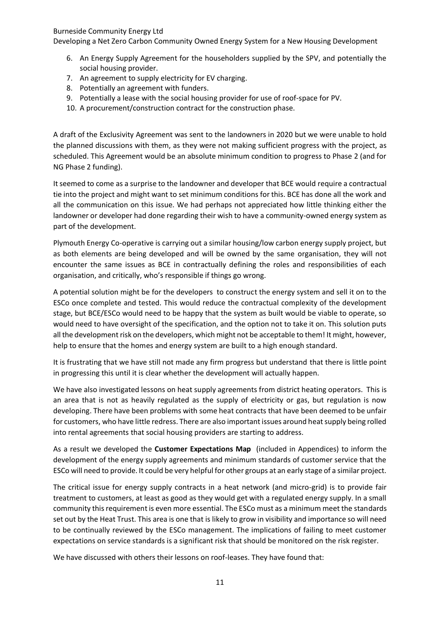Developing a Net Zero Carbon Community Owned Energy System for a New Housing Development

- 6. An Energy Supply Agreement for the householders supplied by the SPV, and potentially the social housing provider.
- 7. An agreement to supply electricity for EV charging.
- 8. Potentially an agreement with funders.
- 9. Potentially a lease with the social housing provider for use of roof-space for PV.
- 10. A procurement/construction contract for the construction phase.

A draft of the Exclusivity Agreement was sent to the landowners in 2020 but we were unable to hold the planned discussions with them, as they were not making sufficient progress with the project, as scheduled. This Agreement would be an absolute minimum condition to progress to Phase 2 (and for NG Phase 2 funding).

It seemed to come as a surprise to the landowner and developer that BCE would require a contractual tie into the project and might want to set minimum conditions for this. BCE has done all the work and all the communication on this issue. We had perhaps not appreciated how little thinking either the landowner or developer had done regarding their wish to have a community-owned energy system as part of the development.

Plymouth Energy Co-operative is carrying out a similar housing/low carbon energy supply project, but as both elements are being developed and will be owned by the same organisation, they will not encounter the same issues as BCE in contractually defining the roles and responsibilities of each organisation, and critically, who's responsible if things go wrong.

A potential solution might be for the developers to construct the energy system and sell it on to the ESCo once complete and tested. This would reduce the contractual complexity of the development stage, but BCE/ESCo would need to be happy that the system as built would be viable to operate, so would need to have oversight of the specification, and the option not to take it on. This solution puts all the development risk on the developers, which might not be acceptable to them! It might, however, help to ensure that the homes and energy system are built to a high enough standard.

It is frustrating that we have still not made any firm progress but understand that there is little point in progressing this until it is clear whether the development will actually happen.

We have also investigated lessons on heat supply agreements from district heating operators. This is an area that is not as heavily regulated as the supply of electricity or gas, but regulation is now developing. There have been problems with some heat contracts that have been deemed to be unfair for customers, who have little redress. There are also important issues around heat supply being rolled into rental agreements that social housing providers are starting to address.

As a result we developed the **Customer Expectations Map** (included in Appendices) to inform the development of the energy supply agreements and minimum standards of customer service that the ESCo will need to provide. It could be very helpful for other groups at an early stage of a similar project.

The critical issue for energy supply contracts in a heat network (and micro-grid) is to provide fair treatment to customers, at least as good as they would get with a regulated energy supply. In a small community this requirement is even more essential. The ESCo must as a minimum meet the standards set out by the Heat Trust. This area is one that is likely to grow in visibility and importance so will need to be continually reviewed by the ESCo management. The implications of failing to meet customer expectations on service standards is a significant risk that should be monitored on the risk register.

We have discussed with others their lessons on roof-leases. They have found that: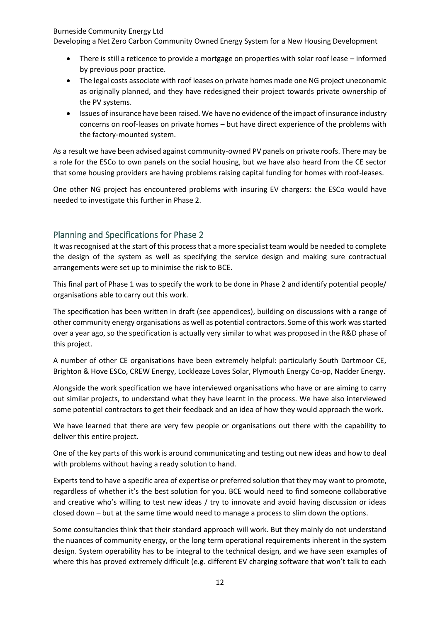Developing a Net Zero Carbon Community Owned Energy System for a New Housing Development

- There is still a reticence to provide a mortgage on properties with solar roof lease informed by previous poor practice.
- The legal costs associate with roof leases on private homes made one NG project uneconomic as originally planned, and they have redesigned their project towards private ownership of the PV systems.
- Issues of insurance have been raised. We have no evidence of the impact of insurance industry concerns on roof-leases on private homes – but have direct experience of the problems with the factory-mounted system.

As a result we have been advised against community-owned PV panels on private roofs. There may be a role for the ESCo to own panels on the social housing, but we have also heard from the CE sector that some housing providers are having problems raising capital funding for homes with roof-leases.

One other NG project has encountered problems with insuring EV chargers: the ESCo would have needed to investigate this further in Phase 2.

## <span id="page-11-0"></span>Planning and Specifications for Phase 2

It was recognised at the start of this process that a more specialist team would be needed to complete the design of the system as well as specifying the service design and making sure contractual arrangements were set up to minimise the risk to BCE.

This final part of Phase 1 was to specify the work to be done in Phase 2 and identify potential people/ organisations able to carry out this work.

The specification has been written in draft (see appendices), building on discussions with a range of other community energy organisations as well as potential contractors. Some of this work was started over a year ago, so the specification is actually very similar to what was proposed in the R&D phase of this project.

A number of other CE organisations have been extremely helpful: particularly South Dartmoor CE, Brighton & Hove ESCo, CREW Energy, Lockleaze Loves Solar, Plymouth Energy Co-op, Nadder Energy.

Alongside the work specification we have interviewed organisations who have or are aiming to carry out similar projects, to understand what they have learnt in the process. We have also interviewed some potential contractors to get their feedback and an idea of how they would approach the work.

We have learned that there are very few people or organisations out there with the capability to deliver this entire project.

One of the key parts of this work is around communicating and testing out new ideas and how to deal with problems without having a ready solution to hand.

Experts tend to have a specific area of expertise or preferred solution that they may want to promote, regardless of whether it's the best solution for you. BCE would need to find someone collaborative and creative who's willing to test new ideas / try to innovate and avoid having discussion or ideas closed down – but at the same time would need to manage a process to slim down the options.

Some consultancies think that their standard approach will work. But they mainly do not understand the nuances of community energy, or the long term operational requirements inherent in the system design. System operability has to be integral to the technical design, and we have seen examples of where this has proved extremely difficult (e.g. different EV charging software that won't talk to each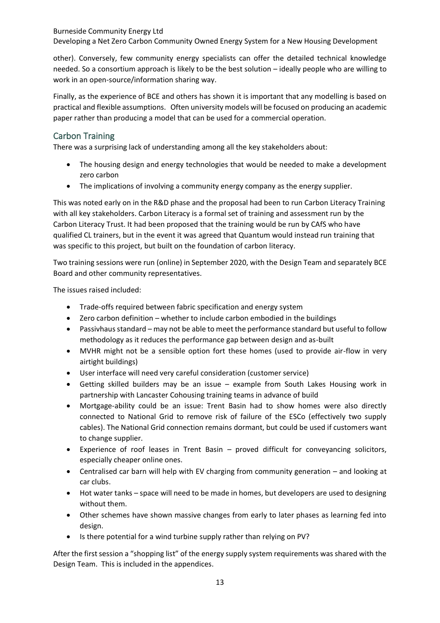Developing a Net Zero Carbon Community Owned Energy System for a New Housing Development

other). Conversely, few community energy specialists can offer the detailed technical knowledge needed. So a consortium approach is likely to be the best solution – ideally people who are willing to work in an open-source/information sharing way.

Finally, as the experience of BCE and others has shown it is important that any modelling is based on practical and flexible assumptions. Often university models will be focused on producing an academic paper rather than producing a model that can be used for a commercial operation.

# <span id="page-12-0"></span>Carbon Training

There was a surprising lack of understanding among all the key stakeholders about:

- The housing design and energy technologies that would be needed to make a development zero carbon
- The implications of involving a community energy company as the energy supplier.

This was noted early on in the R&D phase and the proposal had been to run Carbon Literacy Training with all key stakeholders. Carbon Literacy is a formal set of training and assessment run by the Carbon Literacy Trust. It had been proposed that the training would be run by CAfS who have qualified CL trainers, but in the event it was agreed that Quantum would instead run training that was specific to this project, but built on the foundation of carbon literacy.

Two training sessions were run (online) in September 2020, with the Design Team and separately BCE Board and other community representatives.

The issues raised included:

- Trade-offs required between fabric specification and energy system
- Zero carbon definition whether to include carbon embodied in the buildings
- Passivhaus standard may not be able to meet the performance standard but useful to follow methodology as it reduces the performance gap between design and as-built
- MVHR might not be a sensible option fort these homes (used to provide air-flow in very airtight buildings)
- User interface will need very careful consideration (customer service)
- Getting skilled builders may be an issue example from South Lakes Housing work in partnership with Lancaster Cohousing training teams in advance of build
- Mortgage-ability could be an issue: Trent Basin had to show homes were also directly connected to National Grid to remove risk of failure of the ESCo (effectively two supply cables). The National Grid connection remains dormant, but could be used if customers want to change supplier.
- Experience of roof leases in Trent Basin proved difficult for conveyancing solicitors, especially cheaper online ones.
- Centralised car barn will help with EV charging from community generation and looking at car clubs.
- Hot water tanks space will need to be made in homes, but developers are used to designing without them.
- Other schemes have shown massive changes from early to later phases as learning fed into design.
- Is there potential for a wind turbine supply rather than relying on PV?

After the first session a "shopping list" of the energy supply system requirements was shared with the Design Team. This is included in the appendices.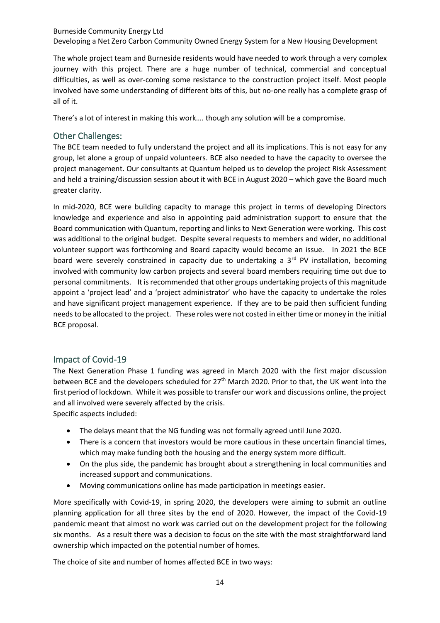Burneside Community Energy Ltd Developing a Net Zero Carbon Community Owned Energy System for a New Housing Development

The whole project team and Burneside residents would have needed to work through a very complex journey with this project. There are a huge number of technical, commercial and conceptual difficulties, as well as over-coming some resistance to the construction project itself. Most people involved have some understanding of different bits of this, but no-one really has a complete grasp of all of it.

There's a lot of interest in making this work…. though any solution will be a compromise.

#### <span id="page-13-0"></span>Other Challenges:

The BCE team needed to fully understand the project and all its implications. This is not easy for any group, let alone a group of unpaid volunteers. BCE also needed to have the capacity to oversee the project management. Our consultants at Quantum helped us to develop the project Risk Assessment and held a training/discussion session about it with BCE in August 2020 – which gave the Board much greater clarity.

In mid-2020, BCE were building capacity to manage this project in terms of developing Directors knowledge and experience and also in appointing paid administration support to ensure that the Board communication with Quantum, reporting and links to Next Generation were working. This cost was additional to the original budget. Despite several requests to members and wider, no additional volunteer support was forthcoming and Board capacity would become an issue. In 2021 the BCE board were severely constrained in capacity due to undertaking a  $3<sup>rd</sup>$  PV installation, becoming involved with community low carbon projects and several board members requiring time out due to personal commitments. It is recommended that other groups undertaking projects of this magnitude appoint a 'project lead' and a 'project administrator' who have the capacity to undertake the roles and have significant project management experience. If they are to be paid then sufficient funding needs to be allocated to the project. These roles were not costed in either time or money in the initial BCE proposal.

#### <span id="page-13-1"></span>Impact of Covid-19

The Next Generation Phase 1 funding was agreed in March 2020 with the first major discussion between BCE and the developers scheduled for 27<sup>th</sup> March 2020. Prior to that, the UK went into the first period of lockdown. While it was possible to transfer our work and discussions online, the project and all involved were severely affected by the crisis. Specific aspects included:

- The delays meant that the NG funding was not formally agreed until June 2020.
- There is a concern that investors would be more cautious in these uncertain financial times, which may make funding both the housing and the energy system more difficult.
- On the plus side, the pandemic has brought about a strengthening in local communities and increased support and communications.
- Moving communications online has made participation in meetings easier.

More specifically with Covid-19, in spring 2020, the developers were aiming to submit an outline planning application for all three sites by the end of 2020. However, the impact of the Covid-19 pandemic meant that almost no work was carried out on the development project for the following six months. As a result there was a decision to focus on the site with the most straightforward land ownership which impacted on the potential number of homes.

The choice of site and number of homes affected BCE in two ways: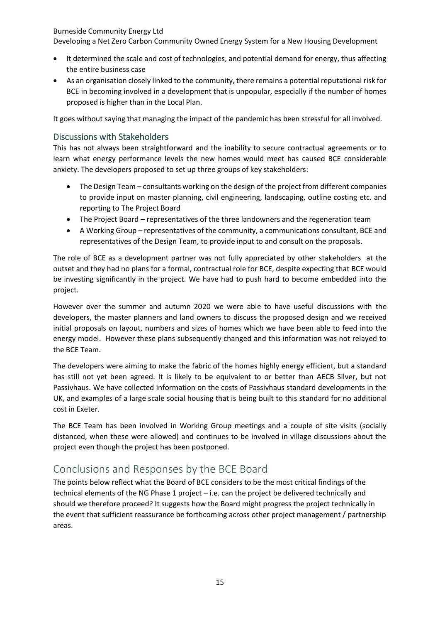Developing a Net Zero Carbon Community Owned Energy System for a New Housing Development

- It determined the scale and cost of technologies, and potential demand for energy, thus affecting the entire business case
- As an organisation closely linked to the community, there remains a potential reputational risk for BCE in becoming involved in a development that is unpopular, especially if the number of homes proposed is higher than in the Local Plan.

It goes without saying that managing the impact of the pandemic has been stressful for all involved.

### <span id="page-14-0"></span>Discussions with Stakeholders

This has not always been straightforward and the inability to secure contractual agreements or to learn what energy performance levels the new homes would meet has caused BCE considerable anxiety. The developers proposed to set up three groups of key stakeholders:

- The Design Team consultants working on the design of the project from different companies to provide input on master planning, civil engineering, landscaping, outline costing etc. and reporting to The Project Board
- The Project Board representatives of the three landowners and the regeneration team
- A Working Group representatives of the community, a communications consultant, BCE and representatives of the Design Team, to provide input to and consult on the proposals.

The role of BCE as a development partner was not fully appreciated by other stakeholders at the outset and they had no plans for a formal, contractual role for BCE, despite expecting that BCE would be investing significantly in the project. We have had to push hard to become embedded into the project.

However over the summer and autumn 2020 we were able to have useful discussions with the developers, the master planners and land owners to discuss the proposed design and we received initial proposals on layout, numbers and sizes of homes which we have been able to feed into the energy model. However these plans subsequently changed and this information was not relayed to the BCE Team.

The developers were aiming to make the fabric of the homes highly energy efficient, but a standard has still not yet been agreed. It is likely to be equivalent to or better than AECB Silver, but not Passivhaus. We have collected information on the costs of Passivhaus standard developments in the UK, and examples of a large scale social housing that is being built to this standard for no additional cost in Exeter.

The BCE Team has been involved in Working Group meetings and a couple of site visits (socially distanced, when these were allowed) and continues to be involved in village discussions about the project even though the project has been postponed.

# <span id="page-14-1"></span>Conclusions and Responses by the BCE Board

The points below reflect what the Board of BCE considers to be the most critical findings of the technical elements of the NG Phase 1 project – i.e. can the project be delivered technically and should we therefore proceed? It suggests how the Board might progress the project technically in the event that sufficient reassurance be forthcoming across other project management / partnership areas.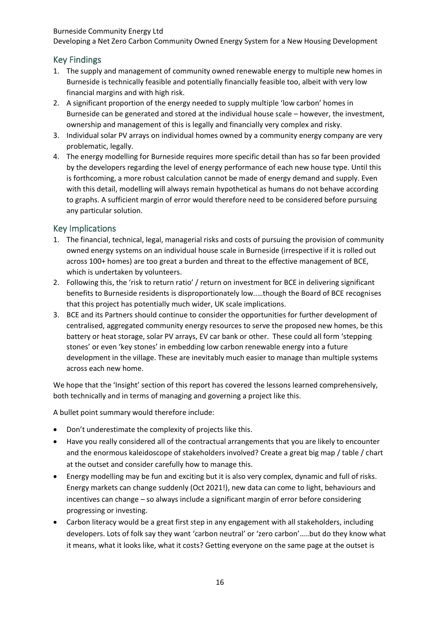Developing a Net Zero Carbon Community Owned Energy System for a New Housing Development

## <span id="page-15-0"></span>Key Findings

- 1. The supply and management of community owned renewable energy to multiple new homes in Burneside is technically feasible and potentially financially feasible too, albeit with very low financial margins and with high risk.
- 2. A significant proportion of the energy needed to supply multiple 'low carbon' homes in Burneside can be generated and stored at the individual house scale – however, the investment, ownership and management of this is legally and financially very complex and risky.
- 3. Individual solar PV arrays on individual homes owned by a community energy company are very problematic, legally.
- 4. The energy modelling for Burneside requires more specific detail than has so far been provided by the developers regarding the level of energy performance of each new house type. Until this is forthcoming, a more robust calculation cannot be made of energy demand and supply. Even with this detail, modelling will always remain hypothetical as humans do not behave according to graphs. A sufficient margin of error would therefore need to be considered before pursuing any particular solution.

#### <span id="page-15-1"></span>Key Implications

- 1. The financial, technical, legal, managerial risks and costs of pursuing the provision of community owned energy systems on an individual house scale in Burneside (irrespective if it is rolled out across 100+ homes) are too great a burden and threat to the effective management of BCE, which is undertaken by volunteers.
- 2. Following this, the 'risk to return ratio' / return on investment for BCE in delivering significant benefits to Burneside residents is disproportionately low..…though the Board of BCE recognises that this project has potentially much wider, UK scale implications.
- 3. BCE and its Partners should continue to consider the opportunities for further development of centralised, aggregated community energy resources to serve the proposed new homes, be this battery or heat storage, solar PV arrays, EV car bank or other. These could all form 'stepping stones' or even 'key stones' in embedding low carbon renewable energy into a future development in the village. These are inevitably much easier to manage than multiple systems across each new home.

We hope that the 'Insight' section of this report has covered the lessons learned comprehensively, both technically and in terms of managing and governing a project like this.

A bullet point summary would therefore include:

- Don't underestimate the complexity of projects like this.
- Have you really considered all of the contractual arrangements that you are likely to encounter and the enormous kaleidoscope of stakeholders involved? Create a great big map / table / chart at the outset and consider carefully how to manage this.
- Energy modelling may be fun and exciting but it is also very complex, dynamic and full of risks. Energy markets can change suddenly (Oct 2021!), new data can come to light, behaviours and incentives can change – so always include a significant margin of error before considering progressing or investing.
- Carbon literacy would be a great first step in any engagement with all stakeholders, including developers. Lots of folk say they want 'carbon neutral' or 'zero carbon'…..but do they know what it means, what it looks like, what it costs? Getting everyone on the same page at the outset is